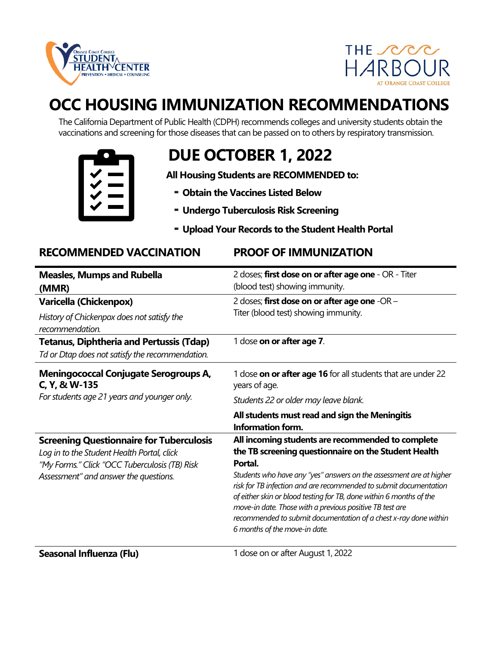



# **OCC HOUSING IMMUNIZATION RECOMMENDATIONS**

The California Department of Public Health (CDPH) recommends colleges and university students obtain the vaccinations and screening for those diseases that can be passed on to others by respiratory transmission.



## **DUE OCTOBER 1, 2022**

**All Housing Students are RECOMMENDED to:**

- **Obtain the Vaccines Listed Below**
- **Undergo Tuberculosis Risk Screening**
- **Upload Your Records to the Student Health Portal**

### **RECOMMENDED VACCINATION PROOF OF IMMUNIZATION**

| <b>Measles, Mumps and Rubella</b><br>(MMR)                                                                                                                                              | 2 doses; first dose on or after age one - OR - Titer<br>(blood test) showing immunity.                                                                                                                                                                                                                                                                                                                                                                                  |
|-----------------------------------------------------------------------------------------------------------------------------------------------------------------------------------------|-------------------------------------------------------------------------------------------------------------------------------------------------------------------------------------------------------------------------------------------------------------------------------------------------------------------------------------------------------------------------------------------------------------------------------------------------------------------------|
| <b>Varicella (Chickenpox)</b><br>History of Chickenpox does not satisfy the<br>recommendation.                                                                                          | 2 doses; first dose on or after age one -OR -<br>Titer (blood test) showing immunity.                                                                                                                                                                                                                                                                                                                                                                                   |
| <b>Tetanus, Diphtheria and Pertussis (Tdap)</b><br>Td or Dtap does not satisfy the recommendation.                                                                                      | 1 dose on or after age 7.                                                                                                                                                                                                                                                                                                                                                                                                                                               |
| <b>Meningococcal Conjugate Serogroups A,</b><br>C, Y, & W-135<br>For students age 21 years and younger only.                                                                            | 1 dose on or after age 16 for all students that are under 22<br>years of age.<br>Students 22 or older may leave blank.                                                                                                                                                                                                                                                                                                                                                  |
|                                                                                                                                                                                         | All students must read and sign the Meningitis<br><b>Information form.</b>                                                                                                                                                                                                                                                                                                                                                                                              |
| <b>Screening Questionnaire for Tuberculosis</b><br>Log in to the Student Health Portal, click<br>"My Forms." Click "OCC Tuberculosis (TB) Risk<br>Assessment" and answer the questions. | All incoming students are recommended to complete<br>the TB screening questionnaire on the Student Health<br>Portal.<br>Students who have any "yes" answers on the assessment are at higher<br>risk for TB infection and are recommended to submit documentation<br>of either skin or blood testing for TB, done within 6 months of the<br>move-in date. Those with a previous positive TB test are<br>recommended to submit documentation of a chest x-ray done within |
|                                                                                                                                                                                         | 6 months of the move-in date.                                                                                                                                                                                                                                                                                                                                                                                                                                           |

**Seasonal Influenza (Flu)** 1 dose on or after August 1, 2022